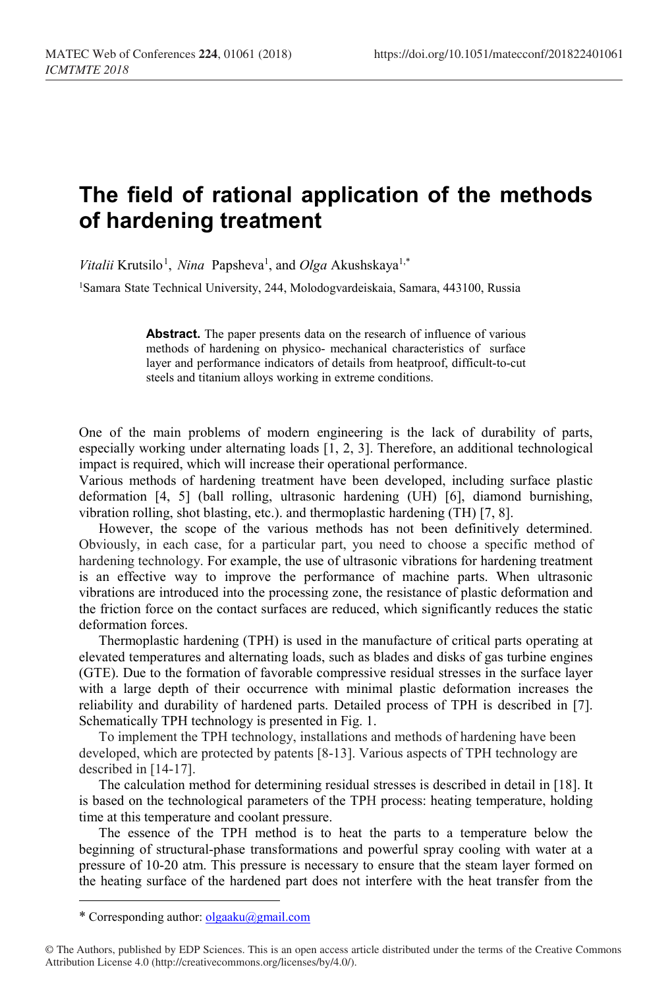## **The field of rational application of the methods of hardening treatment**

Vitalii Krutsilo<sup>[1](#page-0-0)</sup>, Nina Papsheva<sup>1</sup>, and Olga Akushskaya<sup>1,\*</sup>

1Samara State Technical University, 244, Molodogvardeiskaia, Samara, 443100, Russia

Abstract. The paper presents data on the research of influence of various methods of hardening on physico- mechanical characteristics of surface layer and performance indicators of details from heatproof, difficult-to-cut steels and titanium alloys working in extreme conditions.

One of the main problems of modern engineering is the lack of durability of parts, especially working under alternating loads [1, 2, 3]. Therefore, an additional technological impact is required, which will increase their operational performance.

Various methods of hardening treatment have been developed, including surface plastic deformation [4, 5] (ball rolling, ultrasonic hardening (UH) [6], diamond burnishing, vibration rolling, shot blasting, etc.). and thermoplastic hardening (TH) [7, 8].

However, the scope of the various methods has not been definitively determined. Obviously, in each case, for a particular part, you need to choose a specific method of hardening technology. For example, the use of ultrasonic vibrations for hardening treatment is an effective way to improve the performance of machine parts. When ultrasonic vibrations are introduced into the processing zone, the resistance of plastic deformation and the friction force on the contact surfaces are reduced, which significantly reduces the static deformation forces.

Thermoplastic hardening (TPH) is used in the manufacture of critical parts operating at elevated temperatures and alternating loads, such as blades and disks of gas turbine engines (GTE). Due to the formation of favorable compressive residual stresses in the surface layer with a large depth of their occurrence with minimal plastic deformation increases the reliability and durability of hardened parts. Detailed process of TPH is described in [7]. Schematically TPH technology is presented in Fig. 1.

To implement the TPH technology, installations and methods of hardening have been developed, which are protected by patents [8-13]. Various aspects of TPH technology are described in [14-17].

The calculation method for determining residual stresses is described in detail in [18]. It is based on the technological parameters of the TPH process: heating temperature, holding time at this temperature and coolant pressure.

The essence of the TPH method is to heat the parts to a temperature below the beginning of structural-phase transformations and powerful spray cooling with water at a pressure of 10-20 atm. This pressure is necessary to ensure that the steam layer formed on the heating surface of the hardened part does not interfere with the heat transfer from the

 $\overline{a}$ 

<sup>\*</sup> Corresponding author:  $olgaaku@gmail.com$ 

<span id="page-0-0"></span><sup>©</sup> The Authors, published by EDP Sciences. This is an open access article distributed under the terms of the Creative Commons Attribution License 4.0 (http://creativecommons.org/licenses/by/4.0/).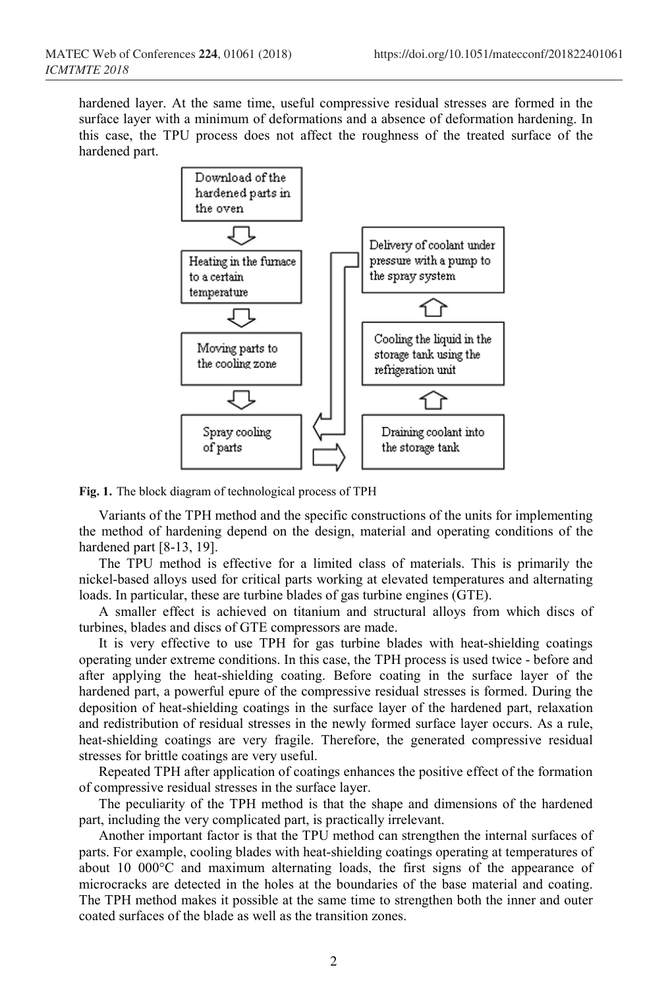hardened layer. At the same time, useful compressive residual stresses are formed in the surface layer with a minimum of deformations and a absence of deformation hardening. In this case, the TPU process does not affect the roughness of the treated surface of the hardened part.



**Fig. 1.** The block diagram of technological process of TPH

Variants of the TPH method and the specific constructions of the units for implementing the method of hardening depend on the design, material and operating conditions of the hardened part [8-13, 19].

The TPU method is effective for a limited class of materials. This is primarily the nickel-based alloys used for critical parts working at elevated temperatures and alternating loads. In particular, these are turbine blades of gas turbine engines (GTE).

A smaller effect is achieved on titanium and structural alloys from which discs of turbines, blades and discs of GTE compressors are made.

It is very effective to use TPH for gas turbine blades with heat-shielding coatings operating under extreme conditions. In this case, the TPH process is used twice - before and after applying the heat-shielding coating. Before coating in the surface layer of the hardened part, a powerful epure of the compressive residual stresses is formed. During the deposition of heat-shielding coatings in the surface layer of the hardened part, relaxation and redistribution of residual stresses in the newly formed surface layer occurs. As a rule, heat-shielding coatings are very fragile. Therefore, the generated compressive residual stresses for brittle coatings are very useful.

Repeated TPH after application of coatings enhances the positive effect of the formation of compressive residual stresses in the surface layer.

The peculiarity of the TPH method is that the shape and dimensions of the hardened part, including the very complicated part, is practically irrelevant.

Another important factor is that the TPU method can strengthen the internal surfaces of parts. For example, cooling blades with heat-shielding coatings operating at temperatures of about 10 000°C and maximum alternating loads, the first signs of the appearance of microcracks are detected in the holes at the boundaries of the base material and coating. The TPH method makes it possible at the same time to strengthen both the inner and outer coated surfaces of the blade as well as the transition zones.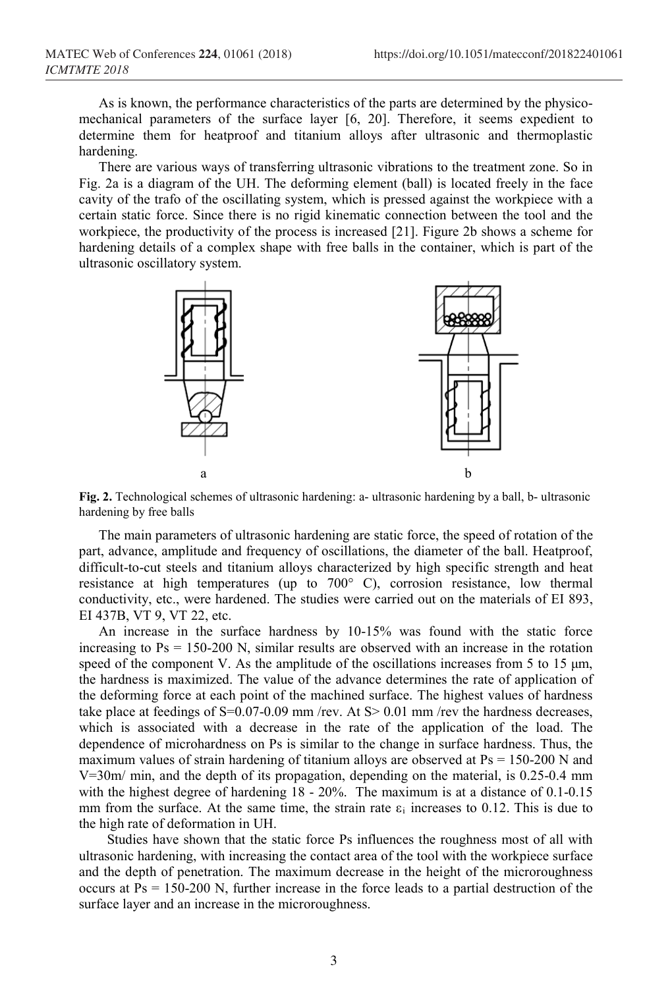As is known, the performance characteristics of the parts are determined by the physicomechanical parameters of the surface layer [6, 20]. Therefore, it seems expedient to determine them for heatproof and titanium alloys after ultrasonic and thermoplastic hardening.

There are various ways of transferring ultrasonic vibrations to the treatment zone. So in Fig. 2a is a diagram of the UH. The deforming element (ball) is located freely in the face cavity of the trafo of the oscillating system, which is pressed against the workpiece with a certain static force. Since there is no rigid kinematic connection between the tool and the workpiece, the productivity of the process is increased [21]. Figure 2b shows a scheme for hardening details of a complex shape with free balls in the container, which is part of the ultrasonic oscillatory system.



**Fig. 2.** Technological schemes of ultrasonic hardening: a- ultrasonic hardening by a ball, b- ultrasonic hardening by free balls

The main parameters of ultrasonic hardening are static force, the speed of rotation of the part, advance, amplitude and frequency of oscillations, the diameter of the ball. Heatproof, difficult-to-cut steels and titanium alloys characterized by high specific strength and heat resistance at high temperatures (up to 700° C), corrosion resistance, low thermal conductivity, etc., were hardened. The studies were carried out on the materials of EI 893, EI 437B, VT 9, VT 22, etc.

An increase in the surface hardness by 10-15% was found with the static force increasing to  $Ps = 150-200$  N, similar results are observed with an increase in the rotation speed of the component V. As the amplitude of the oscillations increases from 5 to 15 μm, the hardness is maximized. The value of the advance determines the rate of application of the deforming force at each point of the machined surface. The highest values of hardness take place at feedings of  $S=0.07-0.09$  mm /rev. At  $S>0.01$  mm /rev the hardness decreases, which is associated with a decrease in the rate of the application of the load. The dependence of microhardness on Ps is similar to the change in surface hardness. Thus, the maximum values of strain hardening of titanium alloys are observed at  $Ps = 150-200$  N and V=30m/ min, and the depth of its propagation, depending on the material, is 0.25-0.4 mm with the highest degree of hardening 18 - 20%. The maximum is at a distance of 0.1-0.15 mm from the surface. At the same time, the strain rate  $\varepsilon_i$  increases to 0.12. This is due to the high rate of deformation in UH.

 Studies have shown that the static force Ps influences the roughness most of all with ultrasonic hardening, with increasing the contact area of the tool with the workpiece surface and the depth of penetration. The maximum decrease in the height of the microroughness occurs at Ps = 150-200 N, further increase in the force leads to a partial destruction of the surface layer and an increase in the microroughness.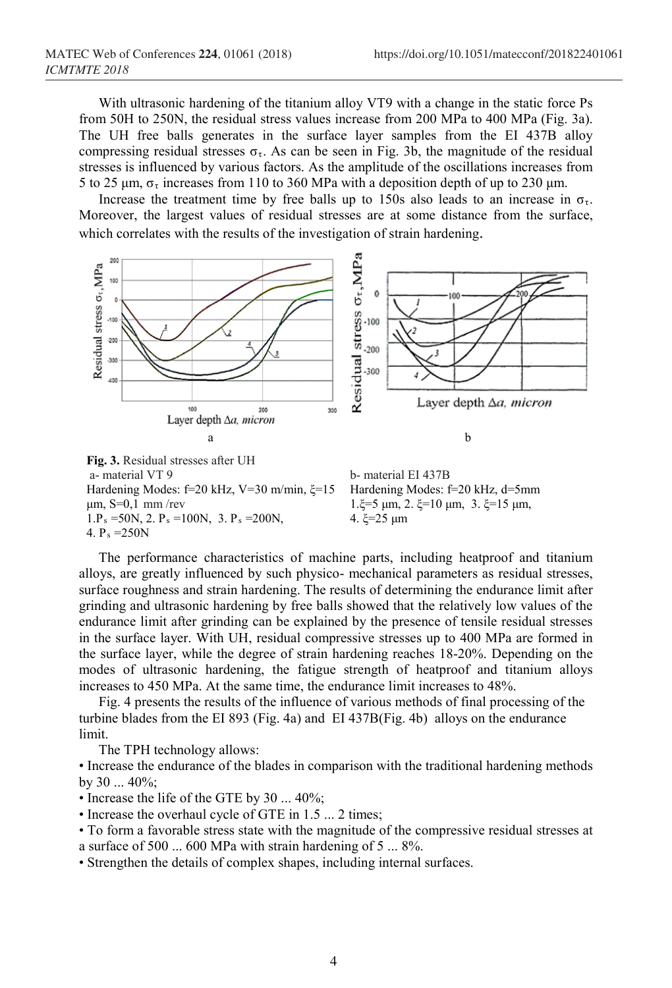With ultrasonic hardening of the titanium alloy VT9 with a change in the static force Ps from 50H to 250N, the residual stress values increase from 200 MPa to 400 MPa (Fig. 3a). The UH free balls generates in the surface layer samples from the EI 437B alloy compressing residual stresses  $\sigma_{\tau}$ . As can be seen in Fig. 3b, the magnitude of the residual stresses is influenced by various factors. As the amplitude of the oscillations increases from 5 to 25 μm,  $\sigma_{\tau}$  increases from 110 to 360 MPa with a deposition depth of up to 230 μm.

Increase the treatment time by free balls up to 150s also leads to an increase in  $\sigma_{\tau}$ . Moreover, the largest values of residual stresses are at some distance from the surface, which correlates with the results of the investigation of strain hardening.





The performance characteristics of machine parts, including heatproof and titanium alloys, are greatly influenced by such physico- mechanical parameters as residual stresses, surface roughness and strain hardening. The results of determining the endurance limit after grinding and ultrasonic hardening by free balls showed that the relatively low values of the endurance limit after grinding can be explained by the presence of tensile residual stresses in the surface layer. With UН, residual compressive stresses up to 400 MPa are formed in the surface layer, while the degree of strain hardening reaches 18-20%. Depending on the modes of ultrasonic hardening, the fatigue strength of heatproof and titanium alloys increases to 450 MPa. At the same time, the endurance limit increases to 48%.

Fig. 4 presents the results of the influence of various methods of final processing of the turbine blades from the EI 893 (Fig. 4a) and EI 437B(Fig. 4b) alloys on the endurance limit.

The TPH technology allows:

• Increase the endurance of the blades in comparison with the traditional hardening methods by 30 ... 40%;

• Increase the life of the GTE by 30 ... 40%;

• Increase the overhaul cycle of GTE in 1.5 ... 2 times;

• To form a favorable stress state with the magnitude of the compressive residual stresses at a surface of 500 ... 600 MPa with strain hardening of 5 ... 8%.

• Strengthen the details of complex shapes, including internal surfaces.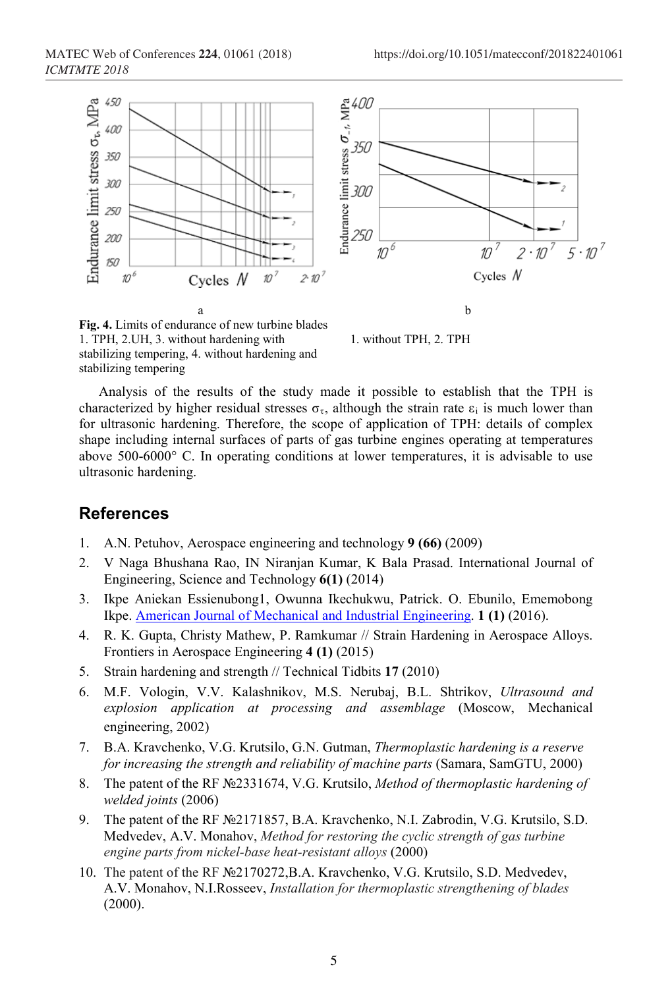

1. TPH, 2.UH, 3. without hardening with stabilizing tempering, 4. without hardening and stabilizing tempering

Analysis of the results of the study made it possible to establish that the TPH is characterized by higher residual stresses  $\sigma_{\tau}$ , although the strain rate  $\varepsilon_i$  is much lower than for ultrasonic hardening. Therefore, the scope of application of TPH: details of complex shape including internal surfaces of parts of gas turbine engines operating at temperatures above 500-6000° С. In operating conditions at lower temperatures, it is advisable to use ultrasonic hardening.

## **References**

- 1. A.N. Petuhov, Aerospace engineering and technology **9 (66)** (2009)
- 2. V Naga Bhushana Rao, IN Niranjan Kumar, K Bala Prasad. International Journal of Engineering, Science and Technology **6(1)** (2014)
- 3. Ikpe Aniekan Essienubong1, Owunna Ikechukwu, Patrick. O. Ebunilo, Ememobong Ikpe. [American Journal of Mechanical and Industrial Engineering.](http://www.sciencepublishinggroup.com/journal/index?journalid=248) **1 (1)** (2016).
- 4. R. K. Gupta, Christy Mathew, P. Ramkumar // Strain Hardening in Aerospace Alloys. Frontiers in Aerospace Engineering **4 (1)** (2015)
- 5. Strain hardening and strength // Technical Tidbits **17** (2010)
- 6. M.F. Vologin, V.V. Kalashnikov, M.S. Nerubaj, B.L. Shtrikov, *Ultrasound and explosion application at processing and assemblage* (Moscow, Mechanical engineering, 2002)
- 7. B.A. Kravchenko, V.G. Krutsilo, G.N. Gutman, *Thermoplastic hardening is a reserve for increasing the strength and reliability of machine parts* (Samara, SamGTU, 2000)
- 8. The patent of the RF №2331674, V.G. Krutsilo, *Method of thermoplastic hardening of welded joints* (2006)
- 9. The patent of the RF №2171857, B.A. Kravchenko, N.I. Zabrodin, V.G. Krutsilo, S.D. Medvedev, A.V. Monahov, *Method for restoring the cyclic strength of gas turbine engine parts from nickel-base heat-resistant alloys* (2000)
- 10. The patent of the RF №2170272,B.A. Kravchenko, V.G. Krutsilo, S.D. Medvedev, A.V. Monahov, N.I.Rosseev, *Installation for thermoplastic strengthening of blades* (2000).